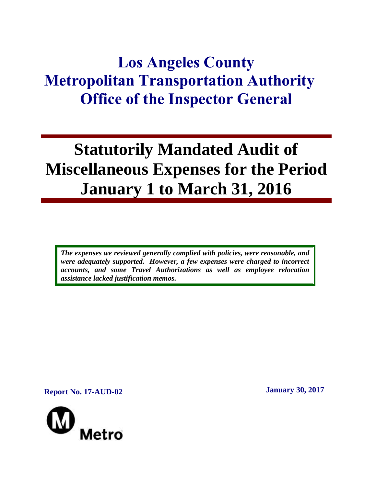## **Los Angeles County Metropolitan Transportation Authority Office of the Inspector General**

# **Statutorily Mandated Audit of Miscellaneous Expenses for the Period January 1 to March 31, 2016**

*The expenses we reviewed generally complied with policies, were reasonable, and were adequately supported. However, a few expenses were charged to incorrect accounts, and some Travel Authorizations as well as employee relocation assistance lacked justification memos.*

**Report No. 17-AUD-02 January 30, 2017**

Metro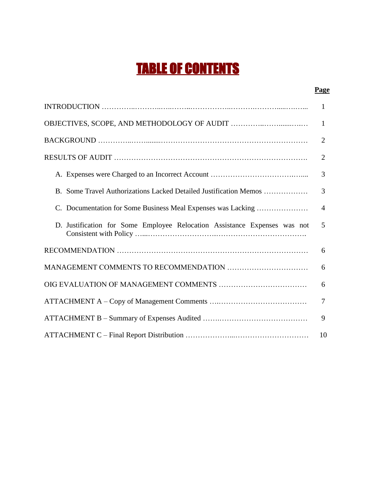## TABLE OF CONTENTS

#### **Page**

|                                                                           | 1              |
|---------------------------------------------------------------------------|----------------|
|                                                                           | $\mathbf{1}$   |
|                                                                           | $\overline{2}$ |
|                                                                           | $\overline{2}$ |
|                                                                           | 3              |
| B. Some Travel Authorizations Lacked Detailed Justification Memos         | 3              |
| C. Documentation for Some Business Meal Expenses was Lacking              | $\overline{4}$ |
| D. Justification for Some Employee Relocation Assistance Expenses was not | 5              |
|                                                                           | 6              |
|                                                                           | 6              |
|                                                                           | 6              |
|                                                                           | $\overline{7}$ |
|                                                                           | 9              |
|                                                                           | 10             |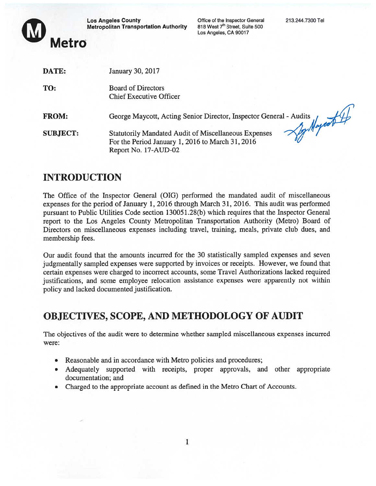**Los Angeles County Metropolitan Transportation Authority**  Office of the Inspector General 213.244.7300 Tel<br>818 West 7<sup>th</sup> Street, Suite 500 Los Angeles, CA 90017



| DATE:           | <b>January 30, 2017</b>                                                                                                                 |
|-----------------|-----------------------------------------------------------------------------------------------------------------------------------------|
| TO:             | <b>Board of Directors</b><br><b>Chief Executive Officer</b>                                                                             |
| <b>FROM:</b>    | George Maycott, Acting Senior Director, Inspector General - Audits<br>Son Marrot 7                                                      |
| <b>SUBJECT:</b> | <b>Statutorily Mandated Audit of Miscellaneous Expenses</b><br>For the Period January 1, 2016 to March 31, 2016<br>Report No. 17-AUD-02 |
|                 |                                                                                                                                         |

## INTRODUCTION

The Office of the Inspector General (OIG) performed the mandated audit of miscellaneous expenses for the period of January 1, 2016 through March 31, 2016. This audit was performed pursuan<sup>t</sup> to Public Utilities Code section 130051.28(b) which requires that the Inspector General repor<sup>t</sup> to the Los Angeles County Metropolitan Transportation Authority (Metro) Board of Directors on miscellaneous expenses including travel, training, meals, private club dues, and membership fees.

Our audit found that the amounts incurred for the 30 statistically sampled expenses and seven judgmentally sampled expenses were supported by invoices or receipts. However, we found that certain expenses were charged to incorrect accounts, some Travel Authorizations lacked required justifications, and some employee relocation assistance expenses were apparently not within policy and lacked documented justification.

## OBJECTIVES, SCOPE, AND METHODOLOGY Of AUDIT

The objectives of the audit were to determine whether sampled miscellaneous expenses incurred were:

- Reasonable and in accordance with Metro policies and procedures;
- Adequately supported with receipts, proper approvals, and other appropriate documentation; and
- Charged to the appropriate account as defined in the Metro Chart of Accounts.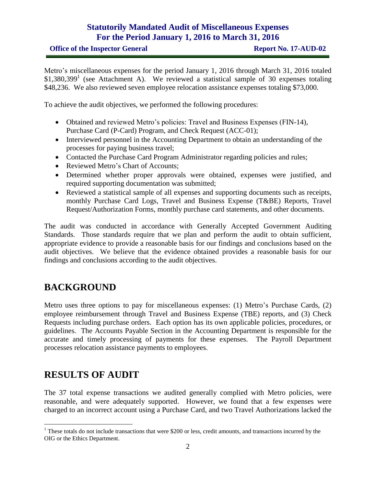Metro's miscellaneous expenses for the period January 1, 2016 through March 31, 2016 totaled  $$1,380,399$ <sup>1</sup> (see Attachment A). We reviewed a statistical sample of 30 expenses totaling \$48,236. We also reviewed seven employee relocation assistance expenses totaling \$73,000.

To achieve the audit objectives, we performed the following procedures:

- Obtained and reviewed Metro's policies: Travel and Business Expenses (FIN-14), Purchase Card (P-Card) Program, and Check Request (ACC-01);
- Interviewed personnel in the Accounting Department to obtain an understanding of the processes for paying business travel;
- Contacted the Purchase Card Program Administrator regarding policies and rules;
- Reviewed Metro's Chart of Accounts;
- Determined whether proper approvals were obtained, expenses were justified, and required supporting documentation was submitted;
- Reviewed a statistical sample of all expenses and supporting documents such as receipts, monthly Purchase Card Logs, Travel and Business Expense (T&BE) Reports, Travel Request/Authorization Forms, monthly purchase card statements, and other documents.

The audit was conducted in accordance with Generally Accepted Government Auditing Standards. Those standards require that we plan and perform the audit to obtain sufficient, appropriate evidence to provide a reasonable basis for our findings and conclusions based on the audit objectives. We believe that the evidence obtained provides a reasonable basis for our findings and conclusions according to the audit objectives.

## **BACKGROUND**

Metro uses three options to pay for miscellaneous expenses: (1) Metro's Purchase Cards, (2) employee reimbursement through Travel and Business Expense (TBE) reports, and (3) Check Requests including purchase orders. Each option has its own applicable policies, procedures, or guidelines. The Accounts Payable Section in the Accounting Department is responsible for the accurate and timely processing of payments for these expenses. The Payroll Department processes relocation assistance payments to employees.

## **RESULTS OF AUDIT**

 $\overline{a}$ 

The 37 total expense transactions we audited generally complied with Metro policies, were reasonable, and were adequately supported. However, we found that a few expenses were charged to an incorrect account using a Purchase Card, and two Travel Authorizations lacked the

 $1$  These totals do not include transactions that were \$200 or less, credit amounts, and transactions incurred by the OIG or the Ethics Department.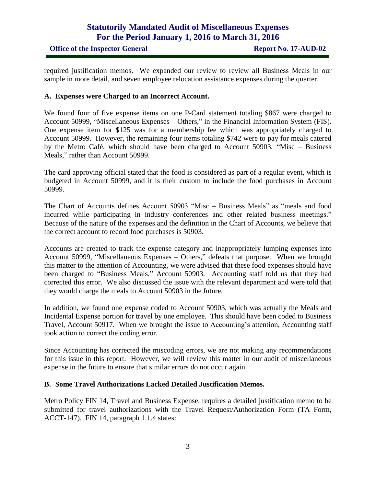required justification memos. We expanded our review to review all Business Meals in our sample in more detail, and seven employee relocation assistance expenses during the quarter.

#### **A. Expenses were Charged to an Incorrect Account.**

We found four of five expense items on one P-Card statement totaling \$867 were charged to Account 50999, "Miscellaneous Expenses – Others," in the Financial Information System (FIS). One expense item for \$125 was for a membership fee which was appropriately charged to Account 50999. However, the remaining four items totaling \$742 were to pay for meals catered by the Metro Café, which should have been charged to Account 50903, "Misc – Business Meals," rather than Account 50999.

The card approving official stated that the food is considered as part of a regular event, which is budgeted in Account 50999, and it is their custom to include the food purchases in Account 50999.

The Chart of Accounts defines Account 50903 "Misc – Business Meals" as "meals and food incurred while participating in industry conferences and other related business meetings." Because of the nature of the expenses and the definition in the Chart of Accounts, we believe that the correct account to record food purchases is 50903.

Accounts are created to track the expense category and inappropriately lumping expenses into Account 50999, "Miscellaneous Expenses – Others," defeats that purpose. When we brought this matter to the attention of Accounting, we were advised that these food expenses should have been charged to "Business Meals," Account 50903. Accounting staff told us that they had corrected this error. We also discussed the issue with the relevant department and were told that they would charge the meals to Account 50903 in the future.

In addition, we found one expense coded to Account 50903, which was actually the Meals and Incidental Expense portion for travel by one employee. This should have been coded to Business Travel, Account 50917. When we brought the issue to Accounting's attention, Accounting staff took action to correct the coding error.

Since Accounting has corrected the miscoding errors, we are not making any recommendations for this issue in this report. However, we will review this matter in our audit of miscellaneous expense in the future to ensure that similar errors do not occur again.

#### **B. Some Travel Authorizations Lacked Detailed Justification Memos.**

Metro Policy FIN 14, Travel and Business Expense, requires a detailed justification memo to be submitted for travel authorizations with the Travel Request/Authorization Form (TA Form, ACCT-147). FIN 14, paragraph 1.1.4 states: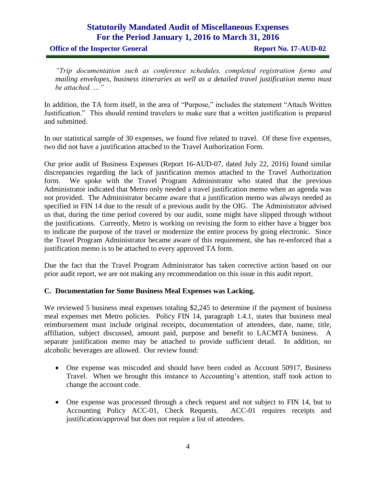**Office of the Inspector General <b>Report No. 17-AUD-02** 

*"Trip documentation such as conference schedules, completed registration forms and mailing envelopes, business itineraries as well as a detailed travel justification memo must be attached. …"*

In addition, the TA form itself, in the area of "Purpose," includes the statement "Attach Written Justification." This should remind travelers to make sure that a written justification is prepared and submitted.

In our statistical sample of 30 expenses, we found five related to travel. Of these five expenses, two did not have a justification attached to the Travel Authorization Form.

Our prior audit of Business Expenses (Report 16-AUD-07, dated July 22, 2016) found similar discrepancies regarding the lack of justification memos attached to the Travel Authorization form. We spoke with the Travel Program Administrator who stated that the previous Administrator indicated that Metro only needed a travel justification memo when an agenda was not provided. The Administrator became aware that a justification memo was always needed as specified in FIN 14 due to the result of a previous audit by the OIG. The Administrator advised us that, during the time period covered by our audit, some might have slipped through without the justifications. Currently, Metro is working on revising the form to either have a bigger box to indicate the purpose of the travel or modernize the entire process by going electronic. Since the Travel Program Administrator became aware of this requirement, she has re-enforced that a justification memo is to be attached to every approved TA form.

Due the fact that the Travel Program Administrator has taken corrective action based on our prior audit report, we are not making any recommendation on this issue in this audit report.

#### **C. Documentation for Some Business Meal Expenses was Lacking.**

We reviewed 5 business meal expenses totaling \$2,245 to determine if the payment of business meal expenses met Metro policies. Policy FIN 14, paragraph 1.4.1, states that business meal reimbursement must include original receipts, documentation of attendees, date, name, title, affiliation, subject discussed, amount paid, purpose and benefit to LACMTA business. A separate justification memo may be attached to provide sufficient detail. In addition, no alcoholic beverages are allowed. Our review found:

- One expense was miscoded and should have been coded as Account 50917, Business Travel. When we brought this instance to Accounting's attention, staff took action to change the account code.
- One expense was processed through a check request and not subject to FIN 14, but to Accounting Policy ACC-01, Check Requests. ACC-01 requires receipts and justification/approval but does not require a list of attendees.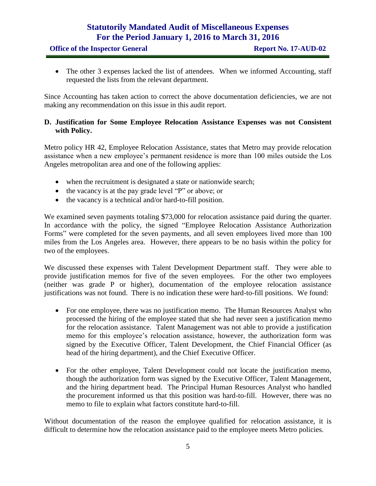• The other 3 expenses lacked the list of attendees. When we informed Accounting, staff requested the lists from the relevant department.

Since Accounting has taken action to correct the above documentation deficiencies, we are not making any recommendation on this issue in this audit report.

#### **D. Justification for Some Employee Relocation Assistance Expenses was not Consistent with Policy.**

Metro policy HR 42, Employee Relocation Assistance, states that Metro may provide relocation assistance when a new employee's permanent residence is more than 100 miles outside the Los Angeles metropolitan area and one of the following applies:

- when the recruitment is designated a state or nationwide search;
- the vacancy is at the pay grade level "P" or above; or
- the vacancy is a technical and/or hard-to-fill position.

We examined seven payments totaling \$73,000 for relocation assistance paid during the quarter. In accordance with the policy, the signed "Employee Relocation Assistance Authorization Forms" were completed for the seven payments, and all seven employees lived more than 100 miles from the Los Angeles area. However, there appears to be no basis within the policy for two of the employees.

We discussed these expenses with Talent Development Department staff. They were able to provide justification memos for five of the seven employees. For the other two employees (neither was grade P or higher), documentation of the employee relocation assistance justifications was not found. There is no indication these were hard-to-fill positions. We found:

- For one employee, there was no justification memo. The Human Resources Analyst who processed the hiring of the employee stated that she had never seen a justification memo for the relocation assistance. Talent Management was not able to provide a justification memo for this employee's relocation assistance, however, the authorization form was signed by the Executive Officer, Talent Development, the Chief Financial Officer (as head of the hiring department), and the Chief Executive Officer.
- For the other employee, Talent Development could not locate the justification memo, though the authorization form was signed by the Executive Officer, Talent Management, and the hiring department head. The Principal Human Resources Analyst who handled the procurement informed us that this position was hard-to-fill. However, there was no memo to file to explain what factors constitute hard-to-fill.

Without documentation of the reason the employee qualified for relocation assistance, it is difficult to determine how the relocation assistance paid to the employee meets Metro policies.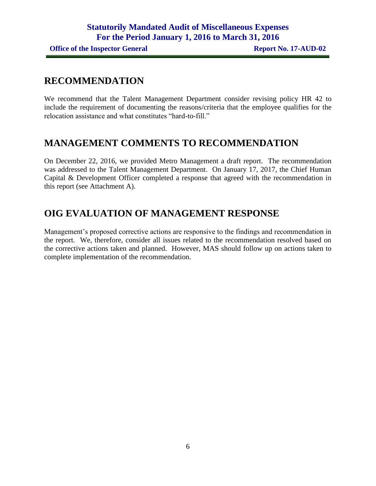## **RECOMMENDATION**

We recommend that the Talent Management Department consider revising policy HR 42 to include the requirement of documenting the reasons/criteria that the employee qualifies for the relocation assistance and what constitutes "hard-to-fill."

## **MANAGEMENT COMMENTS TO RECOMMENDATION**

On December 22, 2016, we provided Metro Management a draft report. The recommendation was addressed to the Talent Management Department. On January 17, 2017, the Chief Human Capital & Development Officer completed a response that agreed with the recommendation in this report (see Attachment A).

## **OIG EVALUATION OF MANAGEMENT RESPONSE**

Management's proposed corrective actions are responsive to the findings and recommendation in the report. We, therefore, consider all issues related to the recommendation resolved based on the corrective actions taken and planned. However, MAS should follow up on actions taken to complete implementation of the recommendation.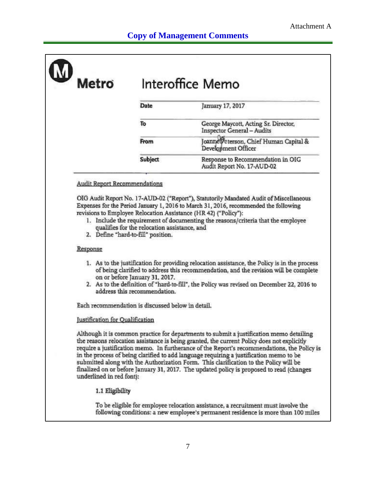| <b>Metro</b> | Interoffice Memo |                                                                           |  |
|--------------|------------------|---------------------------------------------------------------------------|--|
|              | Date             | January 17, 2017                                                          |  |
|              | To               | George Maycott, Acting Sr. Director,<br><b>Inspector General - Audits</b> |  |
|              | From             | Joanne Peterson, Chief Human Capital &<br>Development Officer             |  |
|              | Subject          | Response to Recommendation in OIG<br>Audit Report No. 17-AUD-02           |  |

#### **Audit Report Recommendations**

OIG Audit Report No. 17-AUD-02 ("Report"), Statutorily Mandated Audit of Miscellaneous Expenses for the Period January 1, 2016 to March 31, 2016, recommended the following revisions to Employee Relocation Assistance (HR 42) ("Policy"):

- 1. Include the requirement of documenting the reasons/criteria that the employee qualifies for the relocation assistance, and
- 2. Define "hard-to-fill" position.

#### Response

- 1. As to the justification for providing relocation assistance, the Policy is in the process of being clarified to address this recommendation, and the revision will be complete on or before January 31, 2017.
- 2. As to the definition of "hard-to-fill", the Policy was revised on December 22, 2016 to address this recommendation.

Each recommendation is discussed below in detail.

#### **Justification** for Oualification

Although it is common practice for departments to submit a justification memo detailing the reasons relocation assistance is being granted, the current Policy does not explicitly require a justification memo. In furtherance of the Report's recommendations, the Policy is in the process of being clarified to add language requiring a justification memo to be submitted along with the Authorization Form. This clarification to the Policy will be finalized on or before January 31, 2017. The updated policy is proposed to read (changes underlined in red font):

#### 1.1 Eligibility

To be eligible for employee relocation assistance, a recruitment must involve the following conditions: a new employee's permanent residence is more than 100 miles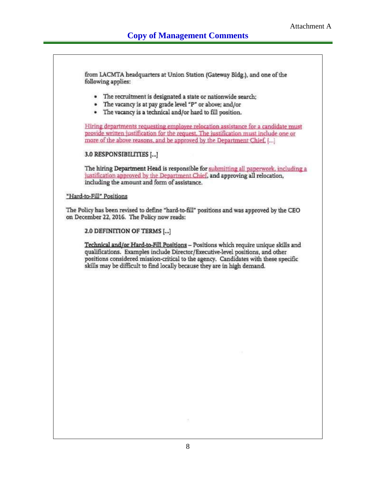from LACMTA headquarters at Union Station (Gateway Bldg.), and one of the following applies: • The recruitment is designated a state or nationwide search; • The vacancy is at pay grade level "P" or above; and/or · The vacancy is a technical and/or hard to fill position. Hiring departments requesting employee relocation assistance for a candidate must provide written justification for the request. The justification must include one or more of the above reasons, and be approved by the Department Chief. [...] 3.0 RESPONSIBILITIES [...] The hiring Department Head is responsible for submitting all paperwork, including a justification approved by the Department Chief, and approving all relocation, including the amount and form of assistance. "Hard-to-Fill" Positions The Policy has been revised to define "hard-to-fill" positions and was approved by the CEO on December 22, 2016. The Policy now reads: 2.0 DEFINITION OF TERMS [...] Technical and/or Hard-to-Fill Positions - Positions which require unique skills and qualifications. Examples include Director/Executive-level positions, and other positions considered mission-critical to the agency. Candidates with these specific skills may be difficult to find locally because they are in high demand.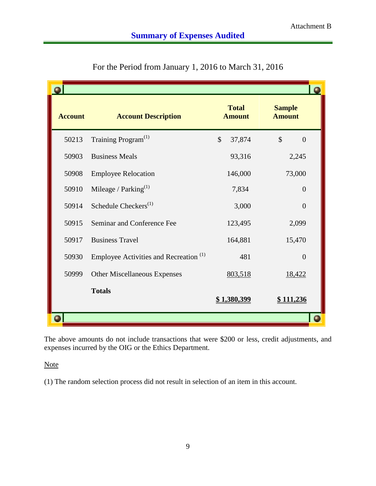| <b>Account</b> | <b>Account Description</b>                        | <b>Total</b><br><b>Amount</b> | <b>Sample</b><br><b>Amount</b>  |
|----------------|---------------------------------------------------|-------------------------------|---------------------------------|
| 50213          | Training Program <sup>(1)</sup>                   | $\mathbb{S}$<br>37,874        | $\mathcal{S}$<br>$\overline{0}$ |
| 50903          | <b>Business Meals</b>                             | 93,316                        | 2,245                           |
| 50908          | <b>Employee Relocation</b>                        | 146,000                       | 73,000                          |
| 50910          | Mileage / $Parking$ <sup>(1)</sup>                | 7,834                         | $\overline{0}$                  |
| 50914          | Schedule Checkers <sup>(1)</sup>                  | 3,000                         | $\overline{0}$                  |
| 50915          | Seminar and Conference Fee                        | 123,495                       | 2,099                           |
| 50917          | <b>Business Travel</b>                            | 164,881                       | 15,470                          |
| 50930          | Employee Activities and Recreation <sup>(1)</sup> | 481                           | $\overline{0}$                  |
| 50999          | <b>Other Miscellaneous Expenses</b>               | 803,518                       | 18,422                          |
|                | <b>Totals</b>                                     | <u>\$1,380,399</u>            | <u>\$111,236</u>                |
|                |                                                   |                               |                                 |

For the Period from January 1, 2016 to March 31, 2016

The above amounts do not include transactions that were \$200 or less, credit adjustments, and expenses incurred by the OIG or the Ethics Department.

**Note** 

(1) The random selection process did not result in selection of an item in this account.